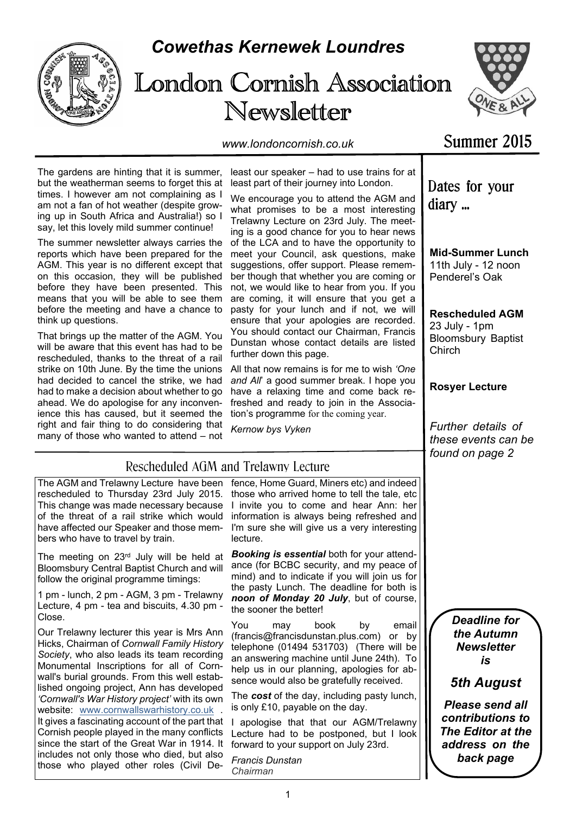

# *Cowethas Kernewek Loundres*

# London Cornish Association Newsletter



*www.londoncornish.co.uk*

# Summer 2015

The gardens are hinting that it is summer, but the weatherman seems to forget this at times. I however am not complaining as I am not a fan of hot weather (despite growing up in South Africa and Australia!) so I say, let this lovely mild summer continue!

The summer newsletter always carries the reports which have been prepared for the AGM. This year is no different except that on this occasion, they will be published before they have been presented. This means that you will be able to see them before the meeting and have a chance to think up questions.

That brings up the matter of the AGM. You will be aware that this event has had to be rescheduled, thanks to the threat of a rail strike on 10th June. By the time the unions had decided to cancel the strike, we had had to make a decision about whether to go ahead. We do apologise for any inconvenience this has caused, but it seemed the right and fair thing to do considering that many of those who wanted to attend – not

least our speaker – had to use trains for at least part of their journey into London.

We encourage you to attend the AGM and what promises to be a most interesting Trelawny Lecture on 23rd July. The meeting is a good chance for you to hear news of the LCA and to have the opportunity to meet your Council, ask questions, make suggestions, offer support. Please remember though that whether you are coming or not, we would like to hear from you. If you are coming, it will ensure that you get a pasty for your lunch and if not, we will ensure that your apologies are recorded. You should contact our Chairman, Francis Dunstan whose contact details are listed further down this page.

All that now remains is for me to wish *'One and All*' a good summer break. I hope you have a relaxing time and come back refreshed and ready to join in the Association's programme for the coming year.

*Kernow bys Vyken*

Rescheduled AGM and Trelawny Lecture

# Dates for your diary ...

**Mid-Summer Lunch** 11th July - 12 noon Penderel's Oak

**Rescheduled AGM** 23 July - 1pm Bloomsbury Baptist **Chirch** 

### **Rosyer Lecture**

*Further details of these events can be found on page 2*

#### The AGM and Trelawny Lecture have been rescheduled to Thursday 23rd July 2015. This change was made necessary because of the threat of a rail strike which would have affected our Speaker and those members who have to travel by train. The meeting on 23rd July will be held at lecture.

Bloomsbury Central Baptist Church and will follow the original programme timings:

1 pm - lunch, 2 pm - AGM, 3 pm - Trelawny Lecture, 4 pm - tea and biscuits, 4.30 pm - Close.

Our Trelawny lecturer this year is Mrs Ann Hicks, Chairman of *Cornwall Family History Society*, who also leads its team recording Monumental Inscriptions for all of Cornwall's burial grounds. From this well established ongoing project, Ann has developed *'Cornwall's War History project'* with its own website: www.cornwallswarhistory.co.uk It gives a fascinating account of the part that Cornish people played in the many conflicts since the start of the Great War in 1914. It includes not only those who died, but also those who played other roles (Civil De-

fence, Home Guard, Miners etc) and indeed those who arrived home to tell the tale, etc I invite you to come and hear Ann: her information is always being refreshed and I'm sure she will give us a very interesting

*Booking is essential* both for your attendance (for BCBC security, and my peace of mind) and to indicate if you will join us for the pasty Lunch. The deadline for both is *noon of Monday 20 July*, but of course, the sooner the better!

You may book by email (francis@francisdunstan.plus.com) or by telephone (01494 531703) (There will be an answering machine until June 24th). To help us in our planning, apologies for absence would also be gratefully received.

The *cost* of the day, including pasty lunch, is only £10, payable on the day.

I apologise that that our AGM/Trelawny Lecture had to be postponed, but I look forward to your support on July 23rd.

*Francis Dunstan Chairman*

*Deadline for the Autumn Newsletter is*

# *5th August*

*Please send all contributions to The Editor at the address on the back page*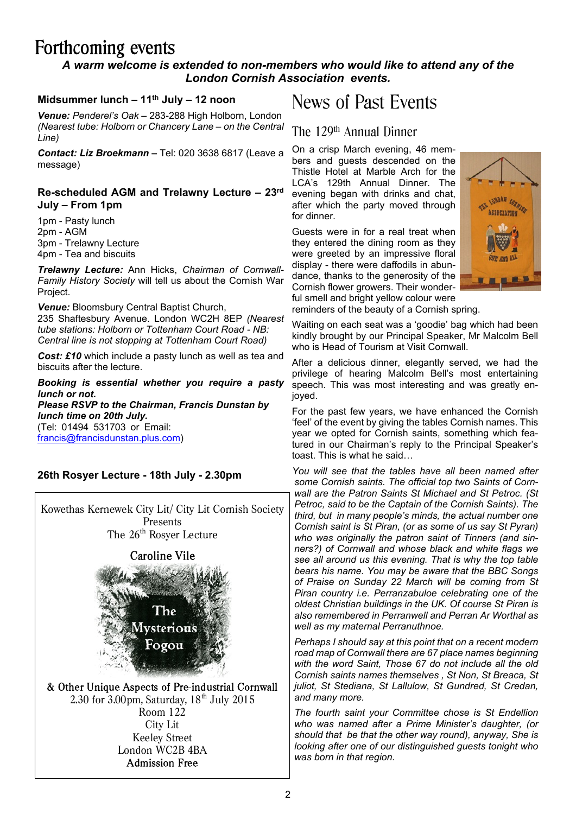# Forthcoming events

### *A warm welcome is extended to non-members who would like to attend any of the London Cornish Association events.*

#### **Midsummer lunch – 11th July – 12 noon**

*Venue: Penderel's Oak –* 283-288 High Holborn, London *(Nearest tube: Holborn or Chancery Lane – on the Central Line)*

*Contact: Liz Broekmann –* Tel: 020 3638 6817 (Leave a message)

#### **Re-scheduled AGM and Trelawny Lecture – 23rd July – From 1pm**

1pm - Pasty lunch 2pm - AGM 3pm - Trelawny Lecture 4pm - Tea and biscuits

*Trelawny Lecture:* Ann Hicks, *Chairman of Cornwall-Family History Society* will tell us about the Cornish War Project.

*Venue:* Bloomsbury Central Baptist Church, 235 Shaftesbury Avenue. London WC2H 8EP *(Nearest tube stations: Holborn or Tottenham Court Road - NB: Central line is not stopping at Tottenham Court Road)*

*Cost: £10* which include a pasty lunch as well as tea and biscuits after the lecture.

*Booking is essential whether you require a pasty lunch or not. Please RSVP to the Chairman, Francis Dunstan by lunch time on 20th July.* (Tel: 01494 531703 or Email:

francis@francisdunstan.plus.com)

### **26th Rosyer Lecture - 18th July - 2.30pm**

Kowethas Kernewek City Lit/ City Lit Cornish Society Presents The 26<sup>th</sup> Rosyer Lecture

**Caroline Vile** 



& Other Unique Aspects of Pre-industrial Cornwall 2.30 for  $3.00$ pm, Saturday,  $18<sup>th</sup>$  July 2015 Room 122 City Lit Keeley Street London WC2B 4BA**Admission Free** 

# News of Past Events

# The 129<sup>th</sup> Annual Dinner

On a crisp March evening, 46 members and guests descended on the Thistle Hotel at Marble Arch for the LCA's 129th Annual Dinner. The evening began with drinks and chat, after which the party moved through for dinner.

Guests were in for a real treat when they entered the dining room as they were greeted by an impressive floral display - there were daffodils in abundance, thanks to the generosity of the Cornish flower growers. Their wonderful smell and bright yellow colour were



reminders of the beauty of a Cornish spring.

Waiting on each seat was a 'goodie' bag which had been kindly brought by our Principal Speaker, Mr Malcolm Bell who is Head of Tourism at Visit Cornwall.

After a delicious dinner, elegantly served, we had the privilege of hearing Malcolm Bell's most entertaining speech. This was most interesting and was greatly enjoyed.

For the past few years, we have enhanced the Cornish 'feel' of the event by giving the tables Cornish names. This year we opted for Cornish saints, something which featured in our Chairman's reply to the Principal Speaker's toast. This is what he said…

*You will see that the tables have all been named after some Cornish saints. The official top two Saints of Cornwall are the Patron Saints St Michael and St Petroc. (St Petroc, said to be the Captain of the Cornish Saints). The third, but in many people's minds, the actual number one Cornish saint is St Piran, (or as some of us say St Pyran) who was originally the patron saint of Tinners (and sinners?) of Cornwall and whose black and white flags we see all around us this evening. That is why the top table bears his name. You may be aware that the BBC Songs of Praise on Sunday 22 March will be coming from St Piran country i.e. Perranzabuloe celebrating one of the oldest Christian buildings in the UK. Of course St Piran is also remembered in Perranwell and Perran Ar Worthal as well as my maternal Perranuthnoe.*

*Perhaps I should say at this point that on a recent modern road map of Cornwall there are 67 place names beginning with the word Saint, Those 67 do not include all the old Cornish saints names themselves , St Non, St Breaca, St juliot, St Stediana, St Lallulow, St Gundred, St Credan, and many more.*

*The fourth saint your Committee chose is St Endellion who was named after a Prime Minister's daughter, (or should that be that the other way round), anyway, She is looking after one of our distinguished guests tonight who was born in that region.*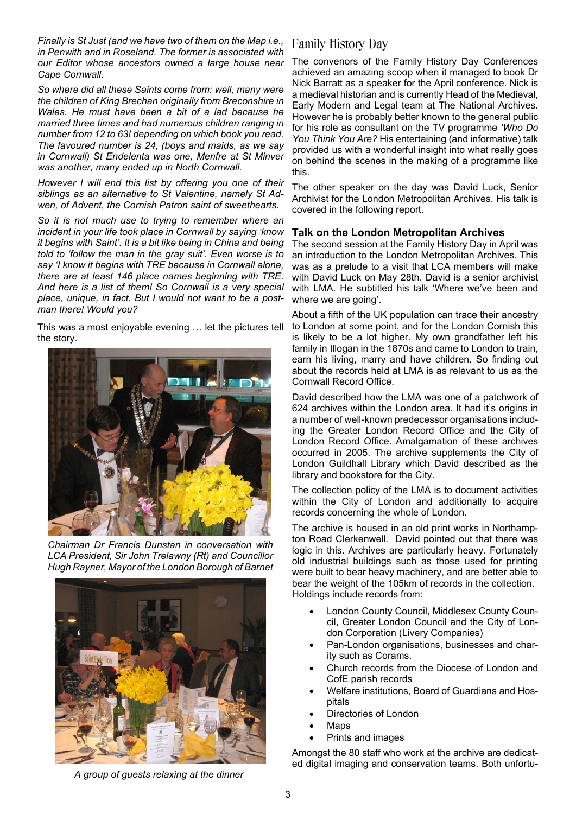*Finally is St Just (and we have two of them on the Map i.e., in Penwith and in Roseland. The former is associated with our Editor whose ancestors owned a large house near Cape Cornwall.*

*So where did all these Saints come from: well, many were the children of King Brechan originally from Breconshire in Wales. He must have been a bit of a lad because he married three times and had numerous children ranging in number from 12 to 63! depending on which book you read. The favoured number is 24, (boys and maids, as we say in Cornwall) St Endelenta was one, Menfre at St Minver was another, many ended up in North Cornwall.*

*However I will end this list by offering you one of their siblings as an alternative to St Valentine, namely St Adwen, of Advent, the Cornish Patron saint of sweethearts.*

*So it is not much use to trying to remember where an incident in your life took place in Cornwall by saying 'know it begins with Saint'. It is a bit like being in China and being told to 'follow the man in the gray suit'. Even worse is to say 'I know it begins with TRE because in Cornwall alone, there are at least 146 place names beginning with TRE. And here is a list of them! So Cornwall is a very special place, unique, in fact. But I would not want to be a postman there! Would you?*

This was a most enjoyable evening … let the pictures tell the story.



*Chairman Dr Francis Dunstan in conversation with LCA President, Sir John Trelawny (Rt) and Councillor Hugh Rayner, Mayor of the London Borough of Barnet*



# this.

The other speaker on the day was David Luck, Senior Archivist for the London Metropolitan Archives. His talk is covered in the following report.

The convenors of the Family History Day Conferences achieved an amazing scoop when it managed to book Dr Nick Barratt as a speaker for the April conference. Nick is a medieval historian and is currently Head of the Medieval, Early Modern and Legal team at The National Archives. However he is probably better known to the general public for his role as consultant on the TV programme *'Who Do You Think You Are?* His entertaining (and informative) talk provided us with a wonderful insight into what really goes on behind the scenes in the making of a programme like

#### **Talk on the London Metropolitan Archives**

Family History Day

The second session at the Family History Day in April was an introduction to the London Metropolitan Archives. This was as a prelude to a visit that LCA members will make with David Luck on May 28th. David is a senior archivist with LMA. He subtitled his talk 'Where we've been and where we are going'.

About a fifth of the UK population can trace their ancestry to London at some point, and for the London Cornish this is likely to be a lot higher. My own grandfather left his family in Illogan in the 1870s and came to London to train, earn his living, marry and have children. So finding out about the records held at LMA is as relevant to us as the Cornwall Record Office.

David described how the LMA was one of a patchwork of 624 archives within the London area. It had it's origins in a number of well-known predecessor organisations including the Greater London Record Office and the City of London Record Office. Amalgamation of these archives occurred in 2005. The archive supplements the City of London Guildhall Library which David described as the library and bookstore for the City.

The collection policy of the LMA is to document activities within the City of London and additionally to acquire records concerning the whole of London.

The archive is housed in an old print works in Northampton Road Clerkenwell. David pointed out that there was logic in this. Archives are particularly heavy. Fortunately old industrial buildings such as those used for printing were built to bear heavy machinery, and are better able to bear the weight of the 105km of records in the collection. Holdings include records from:

- London County Council, Middlesex County Council, Greater London Council and the City of London Corporation (Livery Companies)
- Pan-London organisations, businesses and charity such as Corams.
- Church records from the Diocese of London and CofE parish records
- · Welfare institutions, Board of Guardians and Hospitals
- Directories of London
- · Maps
- Prints and images

Amongst the 80 staff who work at the archive are dedicated digital imaging and conservation teams. Both unfortu-

*A group of guests relaxing at the dinner*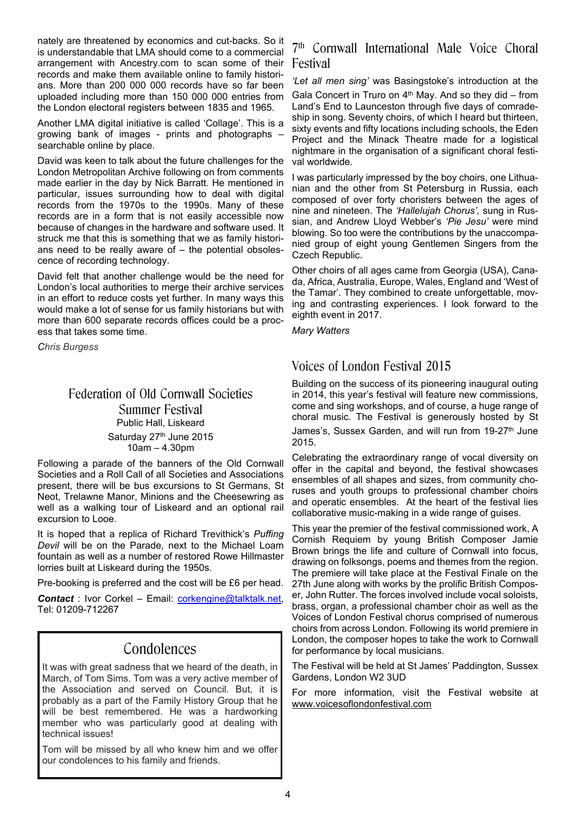nately are threatened by economics and cut-backs. So it is understandable that LMA should come to a commercial arrangement with Ancestry.com to scan some of their records and make them available online to family historians. More than 200 000 000 records have so far been uploaded including more than 150 000 000 entries from the London electoral registers between 1835 and 1965.

Another LMA digital initiative is called 'Collage'. This is a growing bank of images - prints and photographs – searchable online by place.

David was keen to talk about the future challenges for the London Metropolitan Archive following on from comments made earlier in the day by Nick Barratt. He mentioned in particular, issues surrounding how to deal with digital records from the 1970s to the 1990s. Many of these records are in a form that is not easily accessible now because of changes in the hardware and software used. It struck me that this is something that we as family historians need to be really aware of – the potential obsolescence of recording technology.

David felt that another challenge would be the need for London's local authorities to merge their archive services in an effort to reduce costs yet further. In many ways this would make a lot of sense for us family historians but with more than 600 separate records offices could be a process that takes some time.

*Chris Burgess*

### Federation of Old Cornwall Societies Summer Festival Public Hall, Liskeard Saturday 27<sup>th</sup> June 2015 10am – 4.30pm

Following a parade of the banners of the Old Cornwall Societies and a Roll Call of all Societies and Associations present, there will be bus excursions to St Germans, St Neot, Trelawne Manor, Minions and the Cheesewring as well as a walking tour of Liskeard and an optional rail excursion to Looe.

It is hoped that a replica of Richard Trevithick's *Puffing Devil* will be on the Parade, next to the Michael Loam fountain as well as a number of restored Rowe Hillmaster lorries built at Liskeard during the 1950s.

Pre-booking is preferred and the cost will be £6 per head.

*Contact* : Ivor Corkel – Email: corkengine@talktalk.net, Tel: 01209-712267

# Condolences

It was with great sadness that we heard of the death, in March, of Tom Sims. Tom was a very active member of the Association and served on Council. But, it is probably as a part of the Family History Group that he will be best remembered. He was a hardworking member who was particularly good at dealing with technical issues!

Tom will be missed by all who knew him and we offer our condolences to his family and friends.

## 7 th Cornwall International Male Voice Choral Festival

*'Let all men sing'* was Basingstoke's introduction at the Gala Concert in Truro on  $4<sup>th</sup>$  May. And so they did – from Land's End to Launceston through five days of comradeship in song. Seventy choirs, of which I heard but thirteen, sixty events and fifty locations including schools, the Eden Project and the Minack Theatre made for a logistical nightmare in the organisation of a significant choral festival worldwide.

I was particularly impressed by the boy choirs, one Lithuanian and the other from St Petersburg in Russia, each composed of over forty choristers between the ages of nine and nineteen. The *'Hallelujah Chorus',* sung in Russian, and Andrew Lloyd Webber's *'Pie Jesu'* were mind blowing. So too were the contributions by the unaccompanied group of eight young Gentlemen Singers from the Czech Republic.

Other choirs of all ages came from Georgia (USA), Canada, Africa, Australia, Europe, Wales, England and 'West of the Tamar'. They combined to create unforgettable, moving and contrasting experiences. I look forward to the eighth event in 2017.

*Mary Watters*

# Voices of London Festival 2015

Building on the success of its pioneering inaugural outing in 2014, this year's festival will feature new commissions, come and sing workshops, and of course, a huge range of choral music. The Festival is generously hosted by St James's, Sussex Garden, and will run from 19-27<sup>th</sup> June 2015.

Celebrating the extraordinary range of vocal diversity on offer in the capital and beyond, the festival showcases ensembles of all shapes and sizes, from community choruses and youth groups to professional chamber choirs and operatic ensembles. At the heart of the festival lies collaborative music-making in a wide range of guises.

This year the premier of the festival commissioned work, A Cornish Requiem by young British Composer Jamie Brown brings the life and culture of Cornwall into focus, drawing on folksongs, poems and themes from the region. The premiere will take place at the Festival Finale on the 27th June along with works by the prolific British Composer, John Rutter. The forces involved include vocal soloists, brass, organ, a professional chamber choir as well as the Voices of London Festival chorus comprised of numerous choirs from across London. Following its world premiere in London, the composer hopes to take the work to Cornwall for performance by local musicians.

The Festival will be held at St James' Paddington, Sussex Gardens, London W2 3UD

For more information, visit the Festival website at www.voicesoflondonfestival.com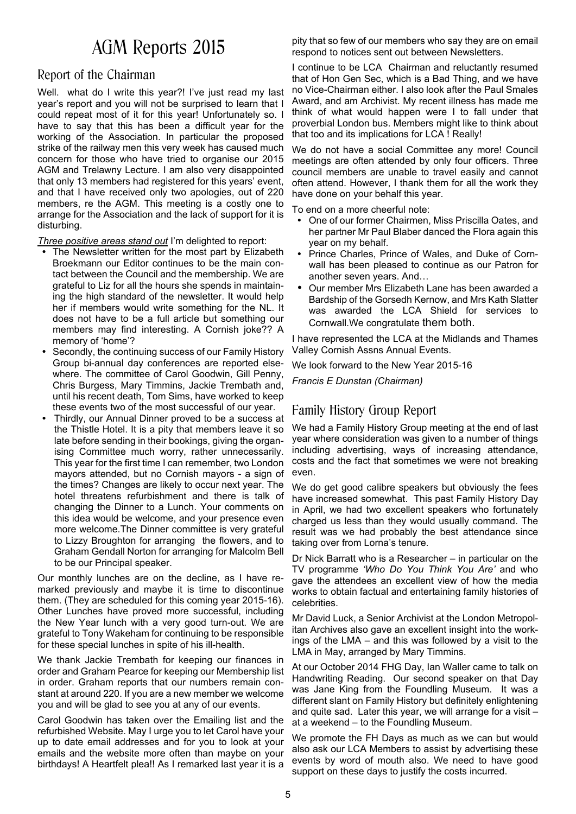# AGM Reports 2015

# Report of the Chairman

Well. what do I write this year?! I've just read my last year's report and you will not be surprised to learn that I could repeat most of it for this year! Unfortunately so. I have to say that this has been a difficult year for the working of the Association. In particular the proposed strike of the railway men this very week has caused much concern for those who have tried to organise our 2015 AGM and Trelawny Lecture. I am also very disappointed that only 13 members had registered for this years' event, and that I have received only two apologies, out of 220 members, re the AGM. This meeting is a costly one to arrange for the Association and the lack of support for it is disturbing.

*Three positive areas stand out* I'm delighted to report:

- The Newsletter written for the most part by Elizabeth Broekmann our Editor continues to be the main contact between the Council and the membership. We are grateful to Liz for all the hours she spends in maintaining the high standard of the newsletter. It would help her if members would write something for the NL. It does not have to be a full article but something our members may find interesting. A Cornish joke?? A memory of 'home'?
- Secondly, the continuing success of our Family History Group bi-annual day conferences are reported elsewhere. The committee of Carol Goodwin, Gill Penny, Chris Burgess, Mary Timmins, Jackie Trembath and, until his recent death, Tom Sims, have worked to keep these events two of the most successful of our year.
- Thirdly, our Annual Dinner proved to be a success at the Thistle Hotel. It is a pity that members leave it so late before sending in their bookings, giving the organising Committee much worry, rather unnecessarily. This year for the first time I can remember, two London mayors attended, but no Cornish mayors - a sign of the times? Changes are likely to occur next year. The hotel threatens refurbishment and there is talk of changing the Dinner to a Lunch. Your comments on this idea would be welcome, and your presence even more welcome.The Dinner committee is very grateful to Lizzy Broughton for arranging the flowers, and to Graham Gendall Norton for arranging for Malcolm Bell to be our Principal speaker.

Our monthly lunches are on the decline, as I have remarked previously and maybe it is time to discontinue them. (They are scheduled for this coming year 2015-16). Other Lunches have proved more successful, including the New Year lunch with a very good turn-out. We are grateful to Tony Wakeham for continuing to be responsible for these special lunches in spite of his ill-health.

We thank Jackie Trembath for keeping our finances in order and Graham Pearce for keeping our Membership list in order. Graham reports that our numbers remain constant at around 220. If you are a new member we welcome you and will be glad to see you at any of our events.

Carol Goodwin has taken over the Emailing list and the refurbished Website. May I urge you to let Carol have your up to date email addresses and for you to look at your emails and the website more often than maybe on your birthdays! A Heartfelt plea!! As I remarked last year it is a

pity that so few of our members who say they are on email respond to notices sent out between Newsletters.

I continue to be LCA Chairman and reluctantly resumed that of Hon Gen Sec, which is a Bad Thing, and we have no Vice-Chairman either. I also look after the Paul Smales Award, and am Archivist. My recent illness has made me think of what would happen were I to fall under that proverbial London bus. Members might like to think about that too and its implications for LCA ! Really!

We do not have a social Committee any more! Council meetings are often attended by only four officers. Three council members are unable to travel easily and cannot often attend. However, I thank them for all the work they have done on your behalf this year.

To end on a more cheerful note:

- One of our former Chairmen, Miss Priscilla Oates, and her partner Mr Paul Blaber danced the Flora again this year on my behalf.
- Prince Charles, Prince of Wales, and Duke of Cornwall has been pleased to continue as our Patron for another seven years. And…
- Our member Mrs Elizabeth Lane has been awarded a Bardship of the Gorsedh Kernow, and Mrs Kath Slatter was awarded the LCA Shield for services to Cornwall.We congratulate them both.

I have represented the LCA at the Midlands and Thames Valley Cornish Assns Annual Events.

We look forward to the New Year 2015-16

*Francis E Dunstan (Chairman)*

# Family History Group Report

We had a Family History Group meeting at the end of last year where consideration was given to a number of things including advertising, ways of increasing attendance, costs and the fact that sometimes we were not breaking even.

We do get good calibre speakers but obviously the fees have increased somewhat. This past Family History Day in April, we had two excellent speakers who fortunately charged us less than they would usually command. The result was we had probably the best attendance since taking over from Lorna's tenure.

Dr Nick Barratt who is a Researcher – in particular on the TV programme *'Who Do You Think You Are'* and who gave the attendees an excellent view of how the media works to obtain factual and entertaining family histories of celebrities.

Mr David Luck, a Senior Archivist at the London Metropolitan Archives also gave an excellent insight into the workings of the LMA – and this was followed by a visit to the LMA in May, arranged by Mary Timmins.

At our October 2014 FHG Day, Ian Waller came to talk on Handwriting Reading. Our second speaker on that Day was Jane King from the Foundling Museum. It was a different slant on Family History but definitely enlightening and quite sad. Later this year, we will arrange for a visit – at a weekend – to the Foundling Museum.

We promote the FH Days as much as we can but would also ask our LCA Members to assist by advertising these events by word of mouth also. We need to have good support on these days to justify the costs incurred.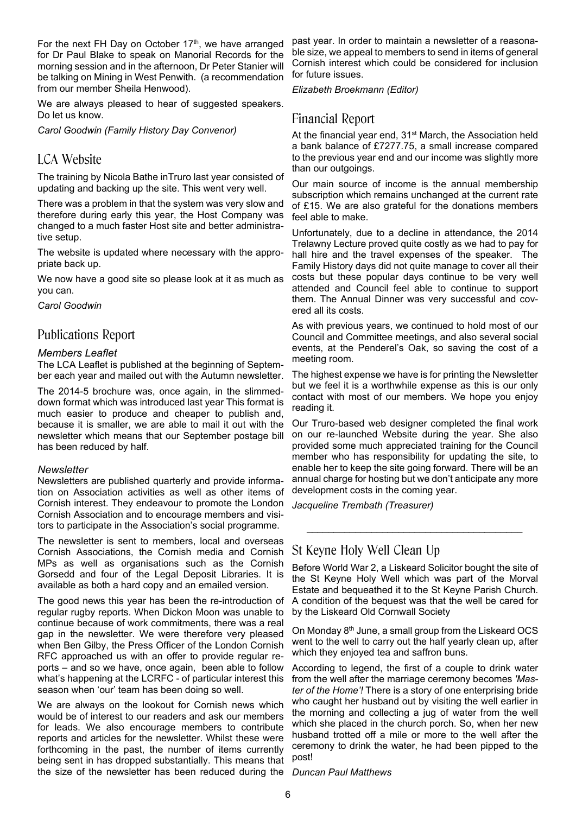For the next FH Day on October 17<sup>th</sup>, we have arranged for Dr Paul Blake to speak on Manorial Records for the morning session and in the afternoon, Dr Peter Stanier will be talking on Mining in West Penwith. (a recommendation from our member Sheila Henwood).

We are always pleased to hear of suggested speakers. Do let us know.

*Carol Goodwin (Family History Day Convenor)*

### LCA Website

The training by Nicola Bathe inTruro last year consisted of updating and backing up the site. This went very well.

There was a problem in that the system was very slow and therefore during early this year, the Host Company was changed to a much faster Host site and better administrative setup.

The website is updated where necessary with the appropriate back up.

We now have a good site so please look at it as much as you can.

*Carol Goodwin*

#### Publications Report

#### *Members Leaflet*

The LCA Leaflet is published at the beginning of September each year and mailed out with the Autumn newsletter.

The 2014-5 brochure was, once again, in the slimmeddown format which was introduced last year This format is much easier to produce and cheaper to publish and, because it is smaller, we are able to mail it out with the newsletter which means that our September postage bill has been reduced by half.

#### *Newsletter*

Newsletters are published quarterly and provide information on Association activities as well as other items of Cornish interest. They endeavour to promote the London Cornish Association and to encourage members and visitors to participate in the Association's social programme.

The newsletter is sent to members, local and overseas Cornish Associations, the Cornish media and Cornish MPs as well as organisations such as the Cornish Gorsedd and four of the Legal Deposit Libraries. It is available as both a hard copy and an emailed version.

The good news this year has been the re-introduction of regular rugby reports. When Dickon Moon was unable to continue because of work commitments, there was a real gap in the newsletter. We were therefore very pleased when Ben Gilby, the Press Officer of the London Cornish RFC approached us with an offer to provide regular reports – and so we have, once again, been able to follow what's happening at the LCRFC - of particular interest this season when 'our' team has been doing so well.

We are always on the lookout for Cornish news which would be of interest to our readers and ask our members for leads. We also encourage members to contribute reports and articles for the newsletter. Whilst these were forthcoming in the past, the number of items currently being sent in has dropped substantially. This means that the size of the newsletter has been reduced during the *Duncan Paul Matthews*

past year. In order to maintain a newsletter of a reasonable size, we appeal to members to send in items of general Cornish interest which could be considered for inclusion for future issues.

*Elizabeth Broekmann (Editor)*

# Financial Report

At the financial year end, 31<sup>st</sup> March, the Association held a bank balance of £7277.75, a small increase compared to the previous year end and our income was slightly more than our outgoings.

Our main source of income is the annual membership subscription which remains unchanged at the current rate of £15. We are also grateful for the donations members feel able to make.

Unfortunately, due to a decline in attendance, the 2014 Trelawny Lecture proved quite costly as we had to pay for hall hire and the travel expenses of the speaker. The Family History days did not quite manage to cover all their costs but these popular days continue to be very well attended and Council feel able to continue to support them. The Annual Dinner was very successful and covered all its costs.

As with previous years, we continued to hold most of our Council and Committee meetings, and also several social events, at the Penderel's Oak, so saving the cost of a meeting room.

The highest expense we have is for printing the Newsletter but we feel it is a worthwhile expense as this is our only contact with most of our members. We hope you enjoy reading it.

Our Truro-based web designer completed the final work on our re-launched Website during the year. She also provided some much appreciated training for the Council member who has responsibility for updating the site, to enable her to keep the site going forward. There will be an annual charge for hosting but we don't anticipate any more development costs in the coming year.

*Jacqueline Trembath (Treasurer)*

# St Keyne Holy Well Clean Up

Before World War 2, a Liskeard Solicitor bought the site of the St Keyne Holy Well which was part of the Morval Estate and bequeathed it to the St Keyne Parish Church. A condition of the bequest was that the well be cared for by the Liskeard Old Cornwall Society

*\_\_\_\_\_\_\_\_\_\_\_\_\_\_\_\_\_\_\_\_\_\_\_\_\_\_\_\_\_\_\_\_\_\_\_\_\_\_\_\_*

On Monday 8th June, a small group from the Liskeard OCS went to the well to carry out the half yearly clean up, after which they enjoyed tea and saffron buns.

According to legend, the first of a couple to drink water from the well after the marriage ceremony becomes *'Master of the Home'!* There is a story of one enterprising bride who caught her husband out by visiting the well earlier in the morning and collecting a jug of water from the well which she placed in the church porch. So, when her new husband trotted off a mile or more to the well after the ceremony to drink the water, he had been pipped to the post!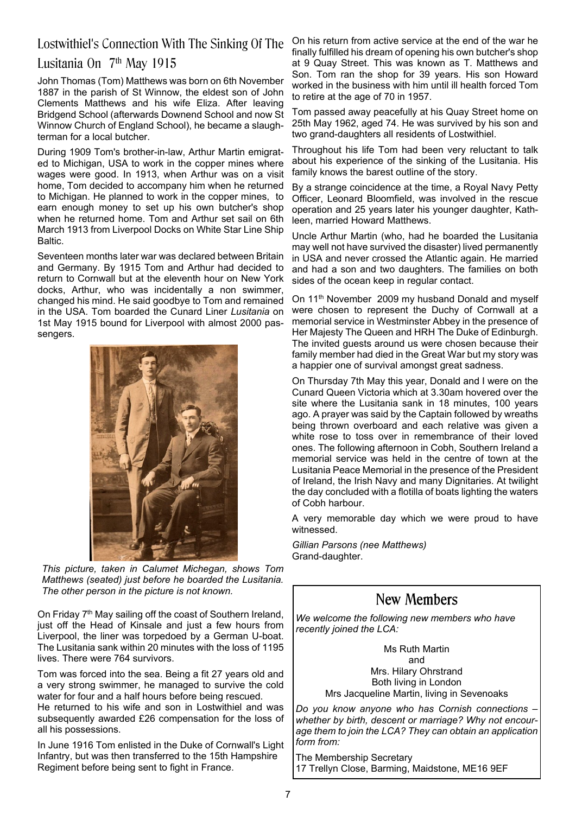# Lostwithiel's Connection With The Sinking Of The

### Lusitania On 7<sup>th</sup> May 1915

John Thomas (Tom) Matthews was born on 6th November 1887 in the parish of St Winnow, the eldest son of John Clements Matthews and his wife Eliza. After leaving Bridgend School (afterwards Downend School and now St Winnow Church of England School), he became a slaughterman for a local butcher.

During 1909 Tom's brother-in-law, Arthur Martin emigrated to Michigan, USA to work in the copper mines where wages were good. In 1913, when Arthur was on a visit home, Tom decided to accompany him when he returned to Michigan. He planned to work in the copper mines, to earn enough money to set up his own butcher's shop when he returned home. Tom and Arthur set sail on 6th March 1913 from Liverpool Docks on White Star Line Ship Baltic.

Seventeen months later war was declared between Britain and Germany. By 1915 Tom and Arthur had decided to return to Cornwall but at the eleventh hour on New York docks, Arthur, who was incidentally a non swimmer, changed his mind. He said goodbye to Tom and remained in the USA. Tom boarded the Cunard Liner *Lusitania* on 1st May 1915 bound for Liverpool with almost 2000 passengers.



*This picture, taken in Calumet Michegan, shows Tom Matthews (seated) just before he boarded the Lusitania. The other person in the picture is not known.*

On Friday 7<sup>th</sup> May sailing off the coast of Southern Ireland, just off the Head of Kinsale and just a few hours from Liverpool, the liner was torpedoed by a German U-boat. The Lusitania sank within 20 minutes with the loss of 1195 lives. There were 764 survivors.

Tom was forced into the sea. Being a fit 27 years old and a very strong swimmer, he managed to survive the cold water for four and a half hours before being rescued. He returned to his wife and son in Lostwithiel and was subsequently awarded £26 compensation for the loss of all his possessions.

In June 1916 Tom enlisted in the Duke of Cornwall's Light Infantry, but was then transferred to the 15th Hampshire Regiment before being sent to fight in France.

On his return from active service at the end of the war he finally fulfilled his dream of opening his own butcher's shop at 9 Quay Street. This was known as T. Matthews and Son. Tom ran the shop for 39 years. His son Howard worked in the business with him until ill health forced Tom to retire at the age of 70 in 1957.

Tom passed away peacefully at his Quay Street home on 25th May 1962, aged 74. He was survived by his son and two grand-daughters all residents of Lostwithiel.

Throughout his life Tom had been very reluctant to talk about his experience of the sinking of the Lusitania. His family knows the barest outline of the story.

By a strange coincidence at the time, a Royal Navy Petty Officer, Leonard Bloomfield, was involved in the rescue operation and 25 years later his younger daughter, Kathleen, married Howard Matthews.

Uncle Arthur Martin (who, had he boarded the Lusitania may well not have survived the disaster) lived permanently in USA and never crossed the Atlantic again. He married and had a son and two daughters. The families on both sides of the ocean keep in regular contact.

On 11<sup>th</sup> November 2009 my husband Donald and myself were chosen to represent the Duchy of Cornwall at a memorial service in Westminster Abbey in the presence of Her Majesty The Queen and HRH The Duke of Edinburgh. The invited guests around us were chosen because their family member had died in the Great War but my story was a happier one of survival amongst great sadness.

On Thursday 7th May this year, Donald and I were on the Cunard Queen Victoria which at 3.30am hovered over the site where the Lusitania sank in 18 minutes, 100 years ago. A prayer was said by the Captain followed by wreaths being thrown overboard and each relative was given a white rose to toss over in remembrance of their loved ones. The following afternoon in Cobh, Southern Ireland a memorial service was held in the centre of town at the Lusitania Peace Memorial in the presence of the President of Ireland, the Irish Navy and many Dignitaries. At twilight the day concluded with a flotilla of boats lighting the waters of Cobh harbour.

A very memorable day which we were proud to have witnessed.

*Gillian Parsons (nee Matthews)* Grand-daughter.

# **New Members**

*We welcome the following new members who have recently joined the LCA:*

> Ms Ruth Martin and Mrs. Hilary Ohrstrand Both living in London Mrs Jacqueline Martin, living in Sevenoaks

*Do you know anyone who has Cornish connections – whether by birth, descent or marriage? Why not encourage them to join the LCA? They can obtain an application form from:*

The Membership Secretary 17 Trellyn Close, Barming, Maidstone, ME16 9EF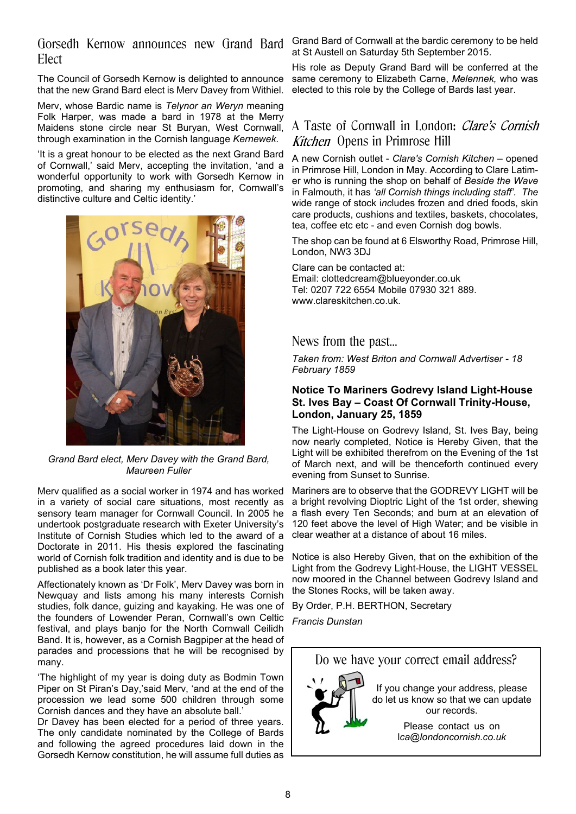Gorsedh Kernow announces new Grand Bard Elect

The Council of Gorsedh Kernow is delighted to announce that the new Grand Bard elect is Merv Davey from Withiel.

Merv, whose Bardic name is *Telynor an Weryn* meaning Folk Harper, was made a bard in 1978 at the Merry Maidens stone circle near St Buryan, West Cornwall, through examination in the Cornish language *Kernewek*.

'It is a great honour to be elected as the next Grand Bard of Cornwall,' said Merv, accepting the invitation, 'and a wonderful opportunity to work with Gorsedh Kernow in promoting, and sharing my enthusiasm for, Cornwall's distinctive culture and Celtic identity.'



*Grand Bard elect, Merv Davey with the Grand Bard, Maureen Fuller*

Merv qualified as a social worker in 1974 and has worked in a variety of social care situations, most recently as sensory team manager for Cornwall Council. In 2005 he undertook postgraduate research with Exeter University's Institute of Cornish Studies which led to the award of a Doctorate in 2011. His thesis explored the fascinating world of Cornish folk tradition and identity and is due to be published as a book later this year.

Affectionately known as 'Dr Folk', Merv Davey was born in Newquay and lists among his many interests Cornish studies, folk dance, guizing and kayaking. He was one of the founders of Lowender Peran, Cornwall's own Celtic festival, and plays banjo for the North Cornwall Ceilidh Band. It is, however, as a Cornish Bagpiper at the head of parades and processions that he will be recognised by many.

'The highlight of my year is doing duty as Bodmin Town Piper on St Piran's Day,'said Merv, 'and at the end of the procession we lead some 500 children through some Cornish dances and they have an absolute ball.'

Dr Davey has been elected for a period of three years. The only candidate nominated by the College of Bards and following the agreed procedures laid down in the Gorsedh Kernow constitution, he will assume full duties as

Grand Bard of Cornwall at the bardic ceremony to be held at St Austell on Saturday 5th September 2015.

His role as Deputy Grand Bard will be conferred at the same ceremony to Elizabeth Carne, *Melennek,* who was elected to this role by the College of Bards last year.

# A Taste of Cornwall in London: *Clare's Cornish* Kitchen Opens in Primrose Hill

A new Cornish outlet - *Clare's Cornish Kitchen* – opened in Primrose Hill, London in May. According to Clare Latimer who is running the shop on behalf of *Beside the Wave* in Falmouth, it has *'all Cornish things including staff'. The* wide range of stock i*nc*ludes frozen and dried foods, skin care products, cushions and textiles, baskets, chocolates, tea, coffee etc etc - and even Cornish dog bowls.

The shop can be found at 6 Elsworthy Road, Primrose Hill, London, NW3 3DJ

Clare can be contacted at: Email: clottedcream@blueyonder.co.uk Tel: 0207 722 6554 Mobile 07930 321 889. www.clareskitchen.co.uk.

### News from the past…

*Taken from: West Briton and Cornwall Advertiser - 18 February 1859*

#### **Notice To Mariners Godrevy Island Light-House St. Ives Bay – Coast Of Cornwall Trinity-House, London, January 25, 1859**

The Light-House on Godrevy Island, St. Ives Bay, being now nearly completed, Notice is Hereby Given, that the Light will be exhibited therefrom on the Evening of the 1st of March next, and will be thenceforth continued every evening from Sunset to Sunrise.

Mariners are to observe that the GODREVY LIGHT will be a bright revolving Dioptric Light of the 1st order, shewing a flash every Ten Seconds; and burn at an elevation of 120 feet above the level of High Water; and be visible in clear weather at a distance of about 16 miles.

Notice is also Hereby Given, that on the exhibition of the Light from the Godrevy Light-House, the LIGHT VESSEL now moored in the Channel between Godrevy Island and the Stones Rocks, will be taken away.

By Order, P.H. BERTHON, Secretary

*Francis Dunstan*

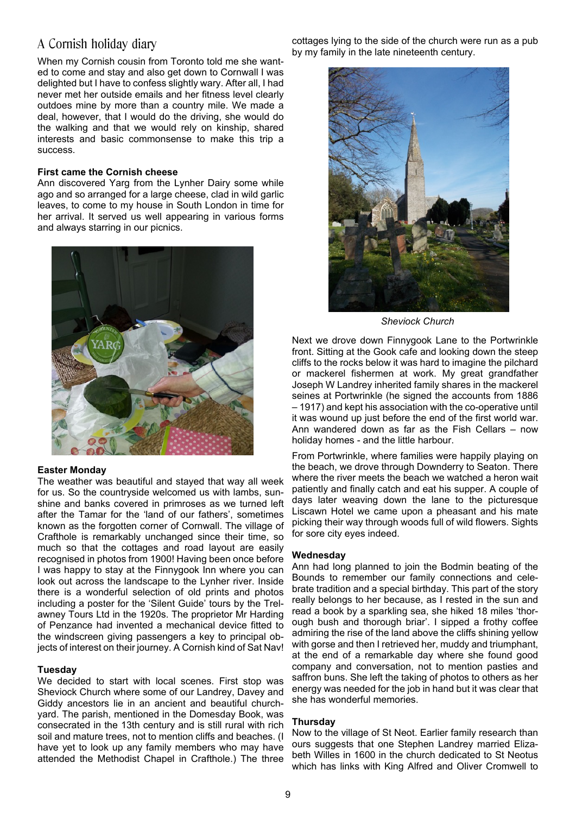# A Cornish holiday diary

When my Cornish cousin from Toronto told me she wanted to come and stay and also get down to Cornwall I was delighted but I have to confess slightly wary. After all, I had never met her outside emails and her fitness level clearly outdoes mine by more than a country mile. We made a deal, however, that I would do the driving, she would do the walking and that we would rely on kinship, shared interests and basic commonsense to make this trip a success.

#### **First came the Cornish cheese**

Ann discovered Yarg from the Lynher Dairy some while ago and so arranged for a large cheese, clad in wild garlic leaves, to come to my house in South London in time for her arrival. It served us well appearing in various forms and always starring in our picnics.



#### **Easter Monday**

The weather was beautiful and stayed that way all week for us. So the countryside welcomed us with lambs, sunshine and banks covered in primroses as we turned left after the Tamar for the 'land of our fathers', sometimes known as the forgotten corner of Cornwall. The village of Crafthole is remarkably unchanged since their time, so much so that the cottages and road layout are easily recognised in photos from 1900! Having been once before I was happy to stay at the Finnygook Inn where you can look out across the landscape to the Lynher river. Inside there is a wonderful selection of old prints and photos including a poster for the 'Silent Guide' tours by the Trelawney Tours Ltd in the 1920s. The proprietor Mr Harding of Penzance had invented a mechanical device fitted to the windscreen giving passengers a key to principal objects of interest on their journey. A Cornish kind of Sat Nav!

#### **Tuesday**

We decided to start with local scenes. First stop was Sheviock Church where some of our Landrey, Davey and Giddy ancestors lie in an ancient and beautiful churchyard. The parish, mentioned in the Domesday Book, was consecrated in the 13th century and is still rural with rich soil and mature trees, not to mention cliffs and beaches. (I have yet to look up any family members who may have attended the Methodist Chapel in Crafthole.) The three

cottages lying to the side of the church were run as a pub by my family in the late nineteenth century.



*Sheviock Church*

Next we drove down Finnygook Lane to the Portwrinkle front. Sitting at the Gook cafe and looking down the steep cliffs to the rocks below it was hard to imagine the pilchard or mackerel fishermen at work. My great grandfather Joseph W Landrey inherited family shares in the mackerel seines at Portwrinkle (he signed the accounts from 1886 – 1917) and kept his association with the co-operative until it was wound up just before the end of the first world war. Ann wandered down as far as the Fish Cellars – now holiday homes - and the little harbour.

From Portwrinkle, where families were happily playing on the beach, we drove through Downderry to Seaton. There where the river meets the beach we watched a heron wait patiently and finally catch and eat his supper. A couple of days later weaving down the lane to the picturesque Liscawn Hotel we came upon a pheasant and his mate picking their way through woods full of wild flowers. Sights for sore city eyes indeed.

#### **Wednesday**

Ann had long planned to join the Bodmin beating of the Bounds to remember our family connections and celebrate tradition and a special birthday. This part of the story really belongs to her because, as I rested in the sun and read a book by a sparkling sea, she hiked 18 miles 'thorough bush and thorough briar'. I sipped a frothy coffee admiring the rise of the land above the cliffs shining yellow with gorse and then I retrieved her, muddy and triumphant, at the end of a remarkable day where she found good company and conversation, not to mention pasties and saffron buns. She left the taking of photos to others as her energy was needed for the job in hand but it was clear that she has wonderful memories.

#### **Thursday**

Now to the village of St Neot. Earlier family research than ours suggests that one Stephen Landrey married Elizabeth Willes in 1600 in the church dedicated to St Neotus which has links with King Alfred and Oliver Cromwell to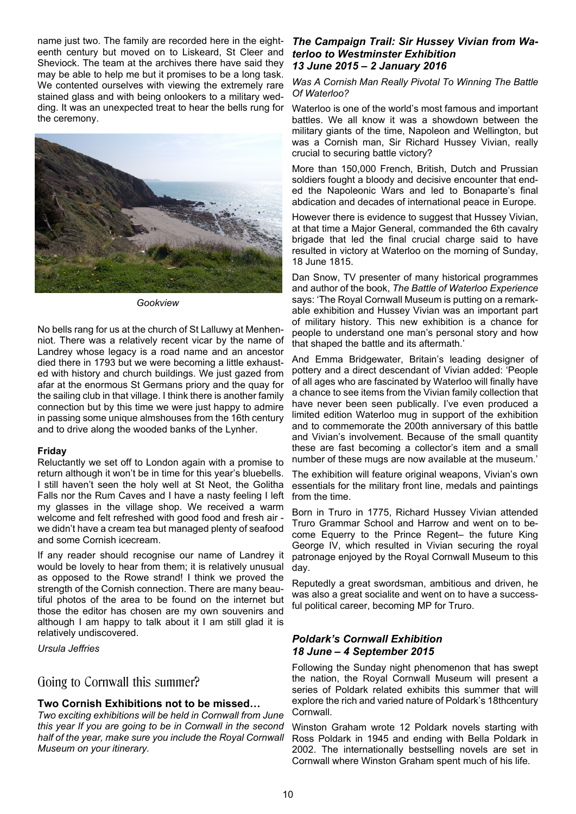name just two. The family are recorded here in the eighteenth century but moved on to Liskeard, St Cleer and Sheviock. The team at the archives there have said they may be able to help me but it promises to be a long task. We contented ourselves with viewing the extremely rare stained glass and with being onlookers to a military wedding. It was an unexpected treat to hear the bells rung for the ceremony.



*Gookview*

No bells rang for us at the church of St Lalluwy at Menhenniot. There was a relatively recent vicar by the name of Landrey whose legacy is a road name and an ancestor died there in 1793 but we were becoming a little exhausted with history and church buildings. We just gazed from afar at the enormous St Germans priory and the quay for the sailing club in that village. I think there is another family connection but by this time we were just happy to admire in passing some unique almshouses from the 16th century and to drive along the wooded banks of the Lynher.

#### **Friday**

Reluctantly we set off to London again with a promise to return although it won't be in time for this year's bluebells. I still haven't seen the holy well at St Neot, the Golitha Falls nor the Rum Caves and I have a nasty feeling I left my glasses in the village shop. We received a warm welcome and felt refreshed with good food and fresh air we didn't have a cream tea but managed plenty of seafood and some Cornish icecream.

If any reader should recognise our name of Landrey it would be lovely to hear from them; it is relatively unusual as opposed to the Rowe strand! I think we proved the strength of the Cornish connection. There are many beautiful photos of the area to be found on the internet but those the editor has chosen are my own souvenirs and although I am happy to talk about it I am still glad it is relatively undiscovered.

*Ursula Jeffries*

### Going to Cornwall this summer?

### **Two Cornish Exhibitions not to be missed…**

*Two exciting exhibitions will be held in Cornwall from June this year If you are going to be in Cornwall in the second half of the year, make sure you include the Royal Cornwall Museum on your itinerary.*

#### *The Campaign Trail: Sir Hussey Vivian from Waterloo to Westminster Exhibition 13 June 2015 – 2 January 2016*

#### *Was A Cornish Man Really Pivotal To Winning The Battle Of Waterloo?*

Waterloo is one of the world's most famous and important battles. We all know it was a showdown between the military giants of the time, Napoleon and Wellington, but was a Cornish man, Sir Richard Hussey Vivian, really crucial to securing battle victory?

More than 150,000 French, British, Dutch and Prussian soldiers fought a bloody and decisive encounter that ended the Napoleonic Wars and led to Bonaparte's final abdication and decades of international peace in Europe.

However there is evidence to suggest that Hussey Vivian, at that time a Major General, commanded the 6th cavalry brigade that led the final crucial charge said to have resulted in victory at Waterloo on the morning of Sunday, 18 June 1815.

Dan Snow, TV presenter of many historical programmes and author of the book, *The Battle of Waterloo Experience* says: 'The Royal Cornwall Museum is putting on a remarkable exhibition and Hussey Vivian was an important part of military history. This new exhibition is a chance for people to understand one man's personal story and how that shaped the battle and its aftermath.'

And Emma Bridgewater, Britain's leading designer of pottery and a direct descendant of Vivian added: 'People of all ages who are fascinated by Waterloo will finally have a chance to see items from the Vivian family collection that have never been seen publically. I've even produced a limited edition Waterloo mug in support of the exhibition and to commemorate the 200th anniversary of this battle and Vivian's involvement. Because of the small quantity these are fast becoming a collector's item and a small number of these mugs are now available at the museum.'

The exhibition will feature original weapons, Vivian's own essentials for the military front line, medals and paintings from the time.

Born in Truro in 1775, Richard Hussey Vivian attended Truro Grammar School and Harrow and went on to become Equerry to the Prince Regent– the future King George IV, which resulted in Vivian securing the royal patronage enjoyed by the Royal Cornwall Museum to this day.

Reputedly a great swordsman, ambitious and driven, he was also a great socialite and went on to have a successful political career, becoming MP for Truro.

#### *Poldark's Cornwall Exhibition 18 June – 4 September 2015*

Following the Sunday night phenomenon that has swept the nation, the Royal Cornwall Museum will present a series of Poldark related exhibits this summer that will explore the rich and varied nature of Poldark's 18thcentury Cornwall.

Winston Graham wrote 12 Poldark novels starting with Ross Poldark in 1945 and ending with Bella Poldark in 2002. The internationally bestselling novels are set in Cornwall where Winston Graham spent much of his life.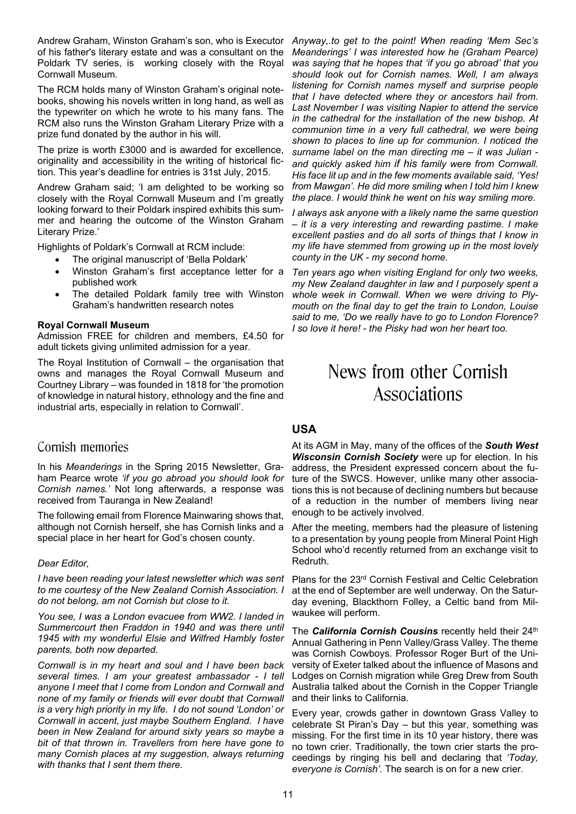Andrew Graham, Winston Graham's son, who is Executor of his father's literary estate and was a consultant on the Poldark TV series, is working closely with the Royal Cornwall Museum.

The RCM holds many of Winston Graham's original notebooks, showing his novels written in long hand, as well as the typewriter on which he wrote to his many fans. The RCM also runs the Winston Graham Literary Prize with a prize fund donated by the author in his will.

The prize is worth £3000 and is awarded for excellence, originality and accessibility in the writing of historical fiction. This year's deadline for entries is 31st July, 2015.

Andrew Graham said; 'I am delighted to be working so closely with the Royal Cornwall Museum and I'm greatly looking forward to their Poldark inspired exhibits this summer and hearing the outcome of the Winston Graham Literary Prize.'

Highlights of Poldark's Cornwall at RCM include:

- · The original manuscript of 'Bella Poldark'
- · Winston Graham's first acceptance letter for a published work
- The detailed Poldark family tree with Winston Graham's handwritten research notes

#### **Royal Cornwall Museum**

Admission FREE for children and members, £4.50 for adult tickets giving unlimited admission for a year.

The Royal Institution of Cornwall – the organisation that owns and manages the Royal Cornwall Museum and Courtney Library – was founded in 1818 for 'the promotion of knowledge in natural history, ethnology and the fine and industrial arts, especially in relation to Cornwall'.

### Cornish memories

In his *Meanderings* in the Spring 2015 Newsletter, Graham Pearce wrote *'if you go abroad you should look for Cornish names.'* Not long afterwards, a response was received from Tauranga in New Zealand!

The following email from Florence Mainwaring shows that, although not Cornish herself, she has Cornish links and a special place in her heart for God's chosen county.

#### *Dear Editor,*

*I have been reading your latest newsletter which was sent to me courtesy of the New Zealand Cornish Association. I do not belong, am not Cornish but close to it.*

*You see, I was a London evacuee from WW2. I landed in Summercourt then Fraddon in 1940 and was there until 1945 with my wonderful Elsie and Wilfred Hambly foster parents, both now departed.*

*Cornwall is in my heart and soul and I have been back several times. I am your greatest ambassador - I tell anyone I meet that I come from London and Cornwall and none of my family or friends will ever doubt that Cornwall is a very high priority in my life. I do not sound 'London' or Cornwall in accent, just maybe Southern England. I have been in New Zealand for around sixty years so maybe a bit of that thrown in. Travellers from here have gone to many Cornish places at my suggestion, always returning with thanks that I sent them there.*

*Anyway,.to get to the point! When reading 'Mem Sec's Meanderings' I was interested how he (Graham Pearce) was saying that he hopes that 'if you go abroad' that you should look out for Cornish names. Well, I am always listening for Cornish names myself and surprise people that I have detected where they or ancestors hail from. Last November I was visiting Napier to attend the service in the cathedral for the installation of the new bishop. At communion time in a very full cathedral, we were being shown to places to line up for communion. I noticed the surname label on the man directing me – it was Julian and quickly asked him if his family were from Cornwall. His face lit up and in the few moments available said, 'Yes! from Mawgan'. He did more smiling when I told him I knew the place. I would think he went on his way smiling more.*

*I always ask anyone with a likely name the same question – it is a very interesting and rewarding pastime. I make excellent pasties and do all sorts of things that I know in my life have stemmed from growing up in the most lovely county in the UK - my second home.*

*Ten years ago when visiting England for only two weeks, my New Zealand daughter in law and I purposely spent a whole week in Cornwall. When we were driving to Plymouth on the final day to get the train to London, Louise said to me, 'Do we really have to go to London Florence? I so love it here! - the Pisky had won her heart too.*

# News from other Cornish Associations

#### **USA**

At its AGM in May, many of the offices of the *South West Wisconsin Cornish Society* were up for election. In his address, the President expressed concern about the future of the SWCS. However, unlike many other associations this is not because of declining numbers but because of a reduction in the number of members living near enough to be actively involved.

After the meeting, members had the pleasure of listening to a presentation by young people from Mineral Point High School who'd recently returned from an exchange visit to Redruth.

Plans for the 23rd Cornish Festival and Celtic Celebration at the end of September are well underway. On the Saturday evening, Blackthorn Folley, a Celtic band from Milwaukee will perform.

The **California Cornish Cousins** recently held their 24<sup>th</sup> Annual Gathering in Penn Valley/Grass Valley. The theme was Cornish Cowboys. Professor Roger Burt of the University of Exeter talked about the influence of Masons and Lodges on Cornish migration while Greg Drew from South Australia talked about the Cornish in the Copper Triangle and their links to California.

Every year, crowds gather in downtown Grass Valley to celebrate St Piran's Day – but this year, something was missing. For the first time in its 10 year history, there was no town crier. Traditionally, the town crier starts the proceedings by ringing his bell and declaring that *'Today, everyone is Cornish'.* The search is on for a new crier.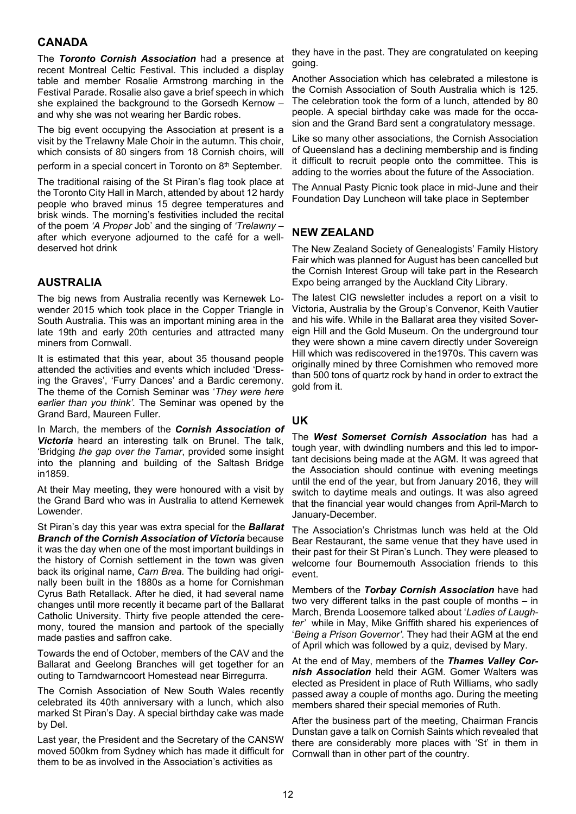### **CANADA**

The *Toronto Cornish Association* had a presence at recent Montreal Celtic Festival. This included a display table and member Rosalie Armstrong marching in the Festival Parade. Rosalie also gave a brief speech in which she explained the background to the Gorsedh Kernow – and why she was not wearing her Bardic robes.

The big event occupying the Association at present is a visit by the Trelawny Male Choir in the autumn. This choir, which consists of 80 singers from 18 Cornish choirs, will

perform in a special concert in Toronto on 8th September.

The traditional raising of the St Piran's flag took place at the Toronto City Hall in March, attended by about 12 hardy people who braved minus 15 degree temperatures and brisk winds. The morning's festivities included the recital of the poem *'A Proper* Job' and the singing of *'Trelawny –* after which everyone adjourned to the café for a welldeserved hot drink

#### **AUSTRALIA**

The big news from Australia recently was Kernewek Lowender 2015 which took place in the Copper Triangle in South Australia. This was an important mining area in the late 19th and early 20th centuries and attracted many miners from Cornwall.

It is estimated that this year, about 35 thousand people attended the activities and events which included 'Dressing the Graves', 'Furry Dances' and a Bardic ceremony. The theme of the Cornish Seminar was '*They were here earlier than you think'.* The Seminar was opened by the Grand Bard, Maureen Fuller.

In March, the members of the *Cornish Association of Victoria* heard an interesting talk on Brunel. The talk, 'Bridging *the gap over the Tamar*, provided some insight into the planning and building of the Saltash Bridge in1859.

At their May meeting, they were honoured with a visit by the Grand Bard who was in Australia to attend Kernewek Lowender.

St Piran's day this year was extra special for the *Ballarat Branch of the Cornish Association of Victoria* because it was the day when one of the most important buildings in the history of Cornish settlement in the town was given back its original name, *Carn Brea.* The building had originally been built in the 1880s as a home for Cornishman Cyrus Bath Retallack. After he died, it had several name changes until more recently it became part of the Ballarat Catholic University. Thirty five people attended the ceremony, toured the mansion and partook of the specially made pasties and saffron cake.

Towards the end of October, members of the CAV and the Ballarat and Geelong Branches will get together for an outing to Tarndwarncoort Homestead near Birregurra.

The Cornish Association of New South Wales recently celebrated its 40th anniversary with a lunch, which also marked St Piran's Day. A special birthday cake was made by Del.

Last year, the President and the Secretary of the CANSW moved 500km from Sydney which has made it difficult for them to be as involved in the Association's activities as

they have in the past. They are congratulated on keeping going.

Another Association which has celebrated a milestone is the Cornish Association of South Australia which is 125. The celebration took the form of a lunch, attended by 80 people. A special birthday cake was made for the occasion and the Grand Bard sent a congratulatory message.

Like so many other associations, the Cornish Association of Queensland has a declining membership and is finding it difficult to recruit people onto the committee. This is adding to the worries about the future of the Association.

The Annual Pasty Picnic took place in mid-June and their Foundation Day Luncheon will take place in September

#### **NEW ZEALAND**

The New Zealand Society of Genealogists' Family History Fair which was planned for August has been cancelled but the Cornish Interest Group will take part in the Research Expo being arranged by the Auckland City Library.

The latest CIG newsletter includes a report on a visit to Victoria, Australia by the Group's Convenor, Keith Vautier and his wife. While in the Ballarat area they visited Sovereign Hill and the Gold Museum. On the underground tour they were shown a mine cavern directly under Sovereign Hill which was rediscovered in the1970s. This cavern was originally mined by three Cornishmen who removed more than 500 tons of quartz rock by hand in order to extract the gold from it.

#### **UK**

The *West Somerset Cornish Association* has had a tough year, with dwindling numbers and this led to important decisions being made at the AGM. It was agreed that the Association should continue with evening meetings until the end of the year, but from January 2016, they will switch to daytime meals and outings. It was also agreed that the financial year would changes from April-March to January-December.

The Association's Christmas lunch was held at the Old Bear Restaurant, the same venue that they have used in their past for their St Piran's Lunch. They were pleased to welcome four Bournemouth Association friends to this event.

Members of the *Torbay Cornish Association* have had two very different talks in the past couple of months – in March, Brenda Loosemore talked about '*Ladies of Laughter'* while in May, Mike Griffith shared his experiences of '*Being a Prison Governor'.* They had their AGM at the end of April which was followed by a quiz, devised by Mary.

At the end of May, members of the *Thames Valley Cornish Association* held their AGM. Gomer Walters was elected as President in place of Ruth Williams, who sadly passed away a couple of months ago. During the meeting members shared their special memories of Ruth.

After the business part of the meeting, Chairman Francis Dunstan gave a talk on Cornish Saints which revealed that there are considerably more places with 'St' in them in Cornwall than in other part of the country.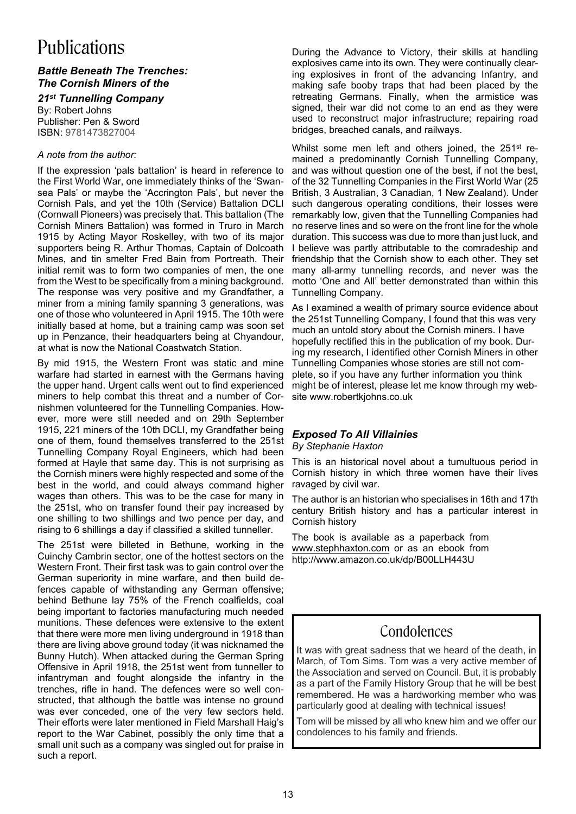# Publications

#### *Battle Beneath The Trenches: The Cornish Miners of the*

# *21st Tunnelling Company*

By: Robert Johns Publisher: Pen & Sword ISBN: 9781473827004

#### *A note from the author:*

If the expression 'pals battalion' is heard in reference to the First World War, one immediately thinks of the 'Swansea Pals' or maybe the 'Accrington Pals', but never the Cornish Pals, and yet the 10th (Service) Battalion DCLI (Cornwall Pioneers) was precisely that. This battalion (The Cornish Miners Battalion) was formed in Truro in March 1915 by Acting Mayor Roskelley, with two of its major supporters being R. Arthur Thomas, Captain of Dolcoath Mines, and tin smelter Fred Bain from Portreath. Their initial remit was to form two companies of men, the one from the West to be specifically from a mining background. The response was very positive and my Grandfather, a miner from a mining family spanning 3 generations, was one of those who volunteered in April 1915. The 10th were initially based at home, but a training camp was soon set up in Penzance, their headquarters being at Chyandour, at what is now the National Coastwatch Station.

By mid 1915, the Western Front was static and mine warfare had started in earnest with the Germans having the upper hand. Urgent calls went out to find experienced miners to help combat this threat and a number of Cornishmen volunteered for the Tunnelling Companies. However, more were still needed and on 29th September 1915, 221 miners of the 10th DCLI, my Grandfather being one of them, found themselves transferred to the 251st Tunnelling Company Royal Engineers, which had been formed at Hayle that same day. This is not surprising as the Cornish miners were highly respected and some of the best in the world, and could always command higher wages than others. This was to be the case for many in the 251st, who on transfer found their pay increased by one shilling to two shillings and two pence per day, and rising to 6 shillings a day if classified a skilled tunneller.

The 251st were billeted in Bethune, working in the Cuinchy Cambrin sector, one of the hottest sectors on the Western Front. Their first task was to gain control over the German superiority in mine warfare, and then build defences capable of withstanding any German offensive; behind Bethune lay 75% of the French coalfields, coal being important to factories manufacturing much needed munitions. These defences were extensive to the extent that there were more men living underground in 1918 than there are living above ground today (it was nicknamed the Bunny Hutch). When attacked during the German Spring Offensive in April 1918, the 251st went from tunneller to infantryman and fought alongside the infantry in the trenches, rifle in hand. The defences were so well constructed, that although the battle was intense no ground was ever conceded, one of the very few sectors held. Their efforts were later mentioned in Field Marshall Haig's report to the War Cabinet, possibly the only time that a small unit such as a company was singled out for praise in such a report.

During the Advance to Victory, their skills at handling explosives came into its own. They were continually clearing explosives in front of the advancing Infantry, and making safe booby traps that had been placed by the retreating Germans. Finally, when the armistice was signed, their war did not come to an end as they were used to reconstruct major infrastructure; repairing road bridges, breached canals, and railways.

Whilst some men left and others joined, the 251<sup>st</sup> remained a predominantly Cornish Tunnelling Company, and was without question one of the best, if not the best, of the 32 Tunnelling Companies in the First World War (25 British, 3 Australian, 3 Canadian, 1 New Zealand). Under such dangerous operating conditions, their losses were remarkably low, given that the Tunnelling Companies had no reserve lines and so were on the front line for the whole duration. This success was due to more than just luck, and I believe was partly attributable to the comradeship and friendship that the Cornish show to each other. They set many all-army tunnelling records, and never was the motto 'One and All' better demonstrated than within this Tunnelling Company.

As I examined a wealth of primary source evidence about the 251st Tunnelling Company, I found that this was very much an untold story about the Cornish miners. I have hopefully rectified this in the publication of my book. During my research, I identified other Cornish Miners in other Tunnelling Companies whose stories are still not complete, so if you have any further information you think might be of interest, please let me know through my website www.robertkjohns.co.uk

### *Exposed To All Villainies*

*By Stephanie Haxton*

This is an historical novel about a tumultuous period in Cornish history in which three women have their lives ravaged by civil war.

The author is an historian who specialises in 16th and 17th century British history and has a particular interest in Cornish history

The book is available as a paperback from www.stephhaxton.com or as an ebook from http://www.amazon.co.uk/dp/B00LLH443U

# Condolences

It was with great sadness that we heard of the death, in March, of Tom Sims. Tom was a very active member of the Association and served on Council. But, it is probably as a part of the Family History Group that he will be best remembered. He was a hardworking member who was particularly good at dealing with technical issues!

Tom will be missed by all who knew him and we offer our condolences to his family and friends.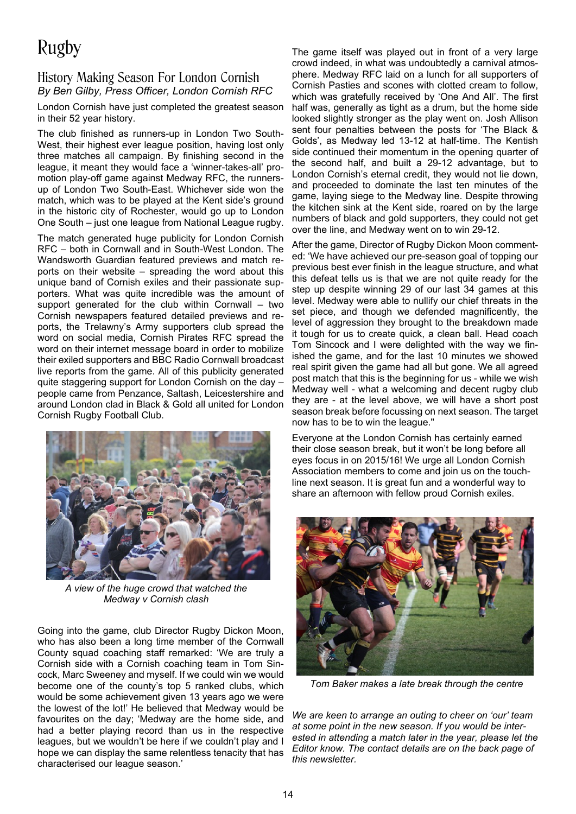# Rugby

## History Making Season For London Cornish *By Ben Gilby, Press Officer, London Cornish RFC*

London Cornish have just completed the greatest season in their 52 year history.

The club finished as runners-up in London Two South-West, their highest ever league position, having lost only three matches all campaign. By finishing second in the league, it meant they would face a 'winner-takes-all' promotion play-off game against Medway RFC, the runnersup of London Two South-East. Whichever side won the match, which was to be played at the Kent side's ground in the historic city of Rochester, would go up to London One South – just one league from National League rugby.

The match generated huge publicity for London Cornish RFC – both in Cornwall and in South-West London. The Wandsworth Guardian featured previews and match reports on their website – spreading the word about this unique band of Cornish exiles and their passionate supporters. What was quite incredible was the amount of support generated for the club within Cornwall – two Cornish newspapers featured detailed previews and reports, the Trelawny's Army supporters club spread the word on social media, Cornish Pirates RFC spread the word on their internet message board in order to mobilize their exiled supporters and BBC Radio Cornwall broadcast live reports from the game. All of this publicity generated quite staggering support for London Cornish on the day – people came from Penzance, Saltash, Leicestershire and around London clad in Black & Gold all united for London Cornish Rugby Football Club.



*A view of the huge crowd that watched the Medway v Cornish clash*

Going into the game, club Director Rugby Dickon Moon, who has also been a long time member of the Cornwall County squad coaching staff remarked: 'We are truly a Cornish side with a Cornish coaching team in Tom Sincock, Marc Sweeney and myself. If we could win we would become one of the county's top 5 ranked clubs, which would be some achievement given 13 years ago we were the lowest of the lot!' He believed that Medway would be favourites on the day; 'Medway are the home side, and had a better playing record than us in the respective leagues, but we wouldn't be here if we couldn't play and I hope we can display the same relentless tenacity that has characterised our league season.'

The game itself was played out in front of a very large crowd indeed, in what was undoubtedly a carnival atmosphere. Medway RFC laid on a lunch for all supporters of Cornish Pasties and scones with clotted cream to follow, which was gratefully received by 'One And All'. The first half was, generally as tight as a drum, but the home side looked slightly stronger as the play went on. Josh Allison sent four penalties between the posts for 'The Black & Golds', as Medway led 13-12 at half-time. The Kentish side continued their momentum in the opening quarter of the second half, and built a 29-12 advantage, but to London Cornish's eternal credit, they would not lie down, and proceeded to dominate the last ten minutes of the game, laying siege to the Medway line. Despite throwing the kitchen sink at the Kent side, roared on by the large numbers of black and gold supporters, they could not get over the line, and Medway went on to win 29-12.

After the game, Director of Rugby Dickon Moon commented: 'We have achieved our pre-season goal of topping our previous best ever finish in the league structure, and what this defeat tells us is that we are not quite ready for the step up despite winning 29 of our last 34 games at this level. Medway were able to nullify our chief threats in the set piece, and though we defended magnificently, the level of aggression they brought to the breakdown made it tough for us to create quick, a clean ball. Head coach Tom Sincock and I were delighted with the way we finished the game, and for the last 10 minutes we showed real spirit given the game had all but gone. We all agreed post match that this is the beginning for us - while we wish Medway well - what a welcoming and decent rugby club they are - at the level above, we will have a short post season break before focussing on next season. The target now has to be to win the league."

Everyone at the London Cornish has certainly earned their close season break, but it won't be long before all eyes focus in on 2015/16! We urge all London Cornish Association members to come and join us on the touchline next season. It is great fun and a wonderful way to share an afternoon with fellow proud Cornish exiles.



*Tom Baker makes a late break through the centre*

*We are keen to arrange an outing to cheer on 'our' team at some point in the new season. If you would be interested in attending a match later in the year, please let the Editor know. The contact details are on the back page of this newsletter.*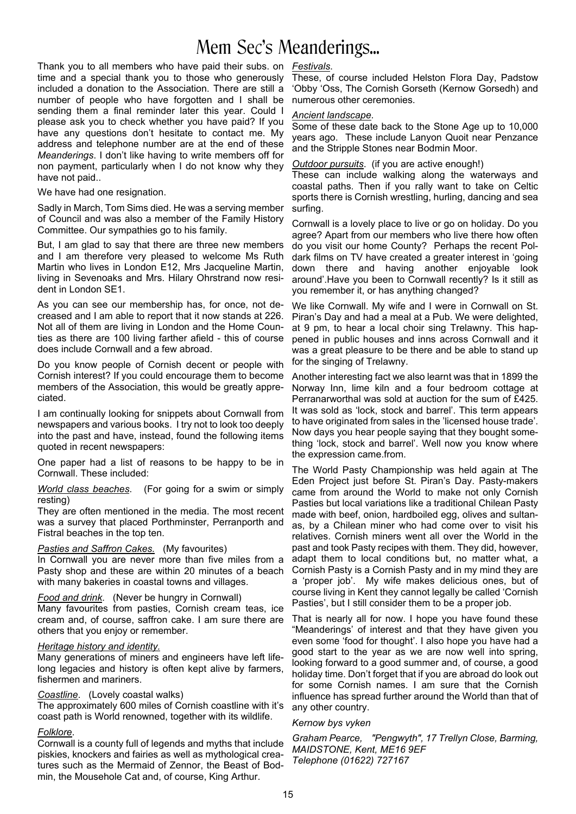# Mem Sec's Meanderings...

Thank you to all members who have paid their subs. on *Festivals*. time and a special thank you to those who generously included a donation to the Association. There are still a number of people who have forgotten and I shall be sending them a final reminder later this year. Could I please ask you to check whether you have paid? If you have any questions don't hesitate to contact me. My address and telephone number are at the end of these *Meanderings*. I don't like having to write members off for non payment, particularly when I do not know why they have not paid..

We have had one resignation.

Sadly in March, Tom Sims died. He was a serving member of Council and was also a member of the Family History Committee. Our sympathies go to his family.

But, I am glad to say that there are three new members and I am therefore very pleased to welcome Ms Ruth Martin who lives in London E12, Mrs Jacqueline Martin, living in Sevenoaks and Mrs. Hilary Ohrstrand now resident in London SE1.

As you can see our membership has, for once, not decreased and I am able to report that it now stands at 226. Not all of them are living in London and the Home Counties as there are 100 living farther afield - this of course does include Cornwall and a few abroad.

Do you know people of Cornish decent or people with Cornish interest? If you could encourage them to become members of the Association, this would be greatly appreciated.

I am continually looking for snippets about Cornwall from newspapers and various books. I try not to look too deeply into the past and have, instead, found the following items quoted in recent newspapers:

One paper had a list of reasons to be happy to be in Cornwall. These included:

*World class beaches*. (For going for a swim or simply resting)

They are often mentioned in the media. The most recent was a survey that placed Porthminster, Perranporth and Fistral beaches in the top ten.

#### *Pasties and Saffron Cakes.* (My favourites)

In Cornwall you are never more than five miles from a Pasty shop and these are within 20 minutes of a beach with many bakeries in coastal towns and villages.

*Food and drink*. (Never be hungry in Cornwall) Many favourites from pasties, Cornish cream teas, ice cream and, of course, saffron cake. I am sure there are others that you enjoy or remember.

#### *Heritage history and identity.*

Many generations of miners and engineers have left lifelong legacies and history is often kept alive by farmers, fishermen and mariners.

#### *Coastline*. (Lovely coastal walks)

The approximately 600 miles of Cornish coastline with it's coast path is World renowned, together with its wildlife.

#### *Folklore*.

Cornwall is a county full of legends and myths that include piskies, knockers and fairies as well as mythological creatures such as the Mermaid of Zennor, the Beast of Bodmin, the Mousehole Cat and, of course, King Arthur.

These, of course included Helston Flora Day, Padstow 'Obby 'Oss, The Cornish Gorseth (Kernow Gorsedh) and numerous other ceremonies.

#### *Ancient landscape*.

Some of these date back to the Stone Age up to 10,000 years ago. These include Lanyon Quoit near Penzance and the Stripple Stones near Bodmin Moor.

*Outdoor pursuits*. (if you are active enough!)

These can include walking along the waterways and coastal paths. Then if you rally want to take on Celtic sports there is Cornish wrestling, hurling, dancing and sea surfing.

Cornwall is a lovely place to live or go on holiday. Do you agree? Apart from our members who live there how often do you visit our home County? Perhaps the recent Poldark films on TV have created a greater interest in 'going down there and having another enjoyable look around'.Have you been to Cornwall recently? Is it still as you remember it, or has anything changed?

We like Cornwall. My wife and I were in Cornwall on St. Piran's Day and had a meal at a Pub. We were delighted, at 9 pm, to hear a local choir sing Trelawny. This happened in public houses and inns across Cornwall and it was a great pleasure to be there and be able to stand up for the singing of Trelawny.

Another interesting fact we also learnt was that in 1899 the Norway Inn, lime kiln and a four bedroom cottage at Perranarworthal was sold at auction for the sum of £425. It was sold as 'lock, stock and barrel'. This term appears to have originated from sales in the 'licensed house trade'. Now days you hear people saying that they bought something 'lock, stock and barrel'. Well now you know where the expression came.from.

The World Pasty Championship was held again at The Eden Project just before St. Piran's Day. Pasty-makers came from around the World to make not only Cornish Pasties but local variations like a traditional Chilean Pasty made with beef, onion, hardboiled egg, olives and sultanas, by a Chilean miner who had come over to visit his relatives. Cornish miners went all over the World in the past and took Pasty recipes with them. They did, however, adapt them to local conditions but, no matter what, a Cornish Pasty is a Cornish Pasty and in my mind they are a 'proper job'. My wife makes delicious ones, but of course living in Kent they cannot legally be called 'Cornish Pasties', but I still consider them to be a proper job.

That is nearly all for now. I hope you have found these "Meanderings' of interest and that they have given you even some 'food for thought'. I also hope you have had a good start to the year as we are now well into spring, looking forward to a good summer and, of course, a good holiday time. Don't forget that if you are abroad do look out for some Cornish names. I am sure that the Cornish influence has spread further around the World than that of any other country.

#### *Kernow bys vyken*

*Graham Pearce, "Pengwyth", 17 Trellyn Close, Barming, MAIDSTONE, Kent, ME16 9EF Telephone (01622) 727167*